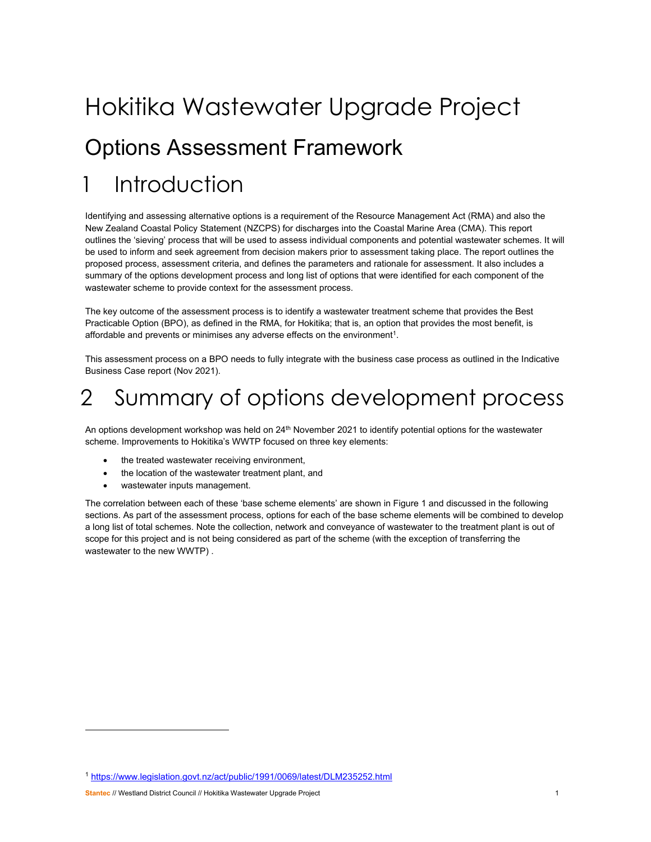# Hokitika Wastewater Upgrade Project Options Assessment Framework **Introduction**

Identifying and assessing alternative options is a requirement of the Resource Management Act (RMA) and also the New Zealand Coastal Policy Statement (NZCPS) for discharges into the Coastal Marine Area (CMA). This report outlines the 'sieving' process that will be used to assess individual components and potential wastewater schemes. It will be used to inform and seek agreement from decision makers prior to assessment taking place. The report outlines the proposed process, assessment criteria, and defines the parameters and rationale for assessment. It also includes a summary of the options development process and long list of options that were identified for each component of the wastewater scheme to provide context for the assessment process.

The key outcome of the assessment process is to identify a wastewater treatment scheme that provides the Best Practicable Option (BPO), as defined in the RMA, for Hokitika; that is, an option that provides the most benefit, is affordable and prevents or minimises any adverse effects on the environment<sup>1</sup>.

This assessment process on a BPO needs to fully integrate with the business case process as outlined in the Indicative Business Case report (Nov 2021).

## 2 Summary of options development process

An options development workshop was held on 24<sup>th</sup> November 2021 to identify potential options for the wastewater scheme. Improvements to Hokitika's WWTP focused on three key elements:

- the treated wastewater receiving environment,
- the location of the wastewater treatment plant, and
- wastewater inputs management.

The correlation between each of these 'base scheme elements' are shown in Figure 1 and discussed in the following sections. As part of the assessment process, options for each of the base scheme elements will be combined to develop a long list of total schemes. Note the collection, network and conveyance of wastewater to the treatment plant is out of scope for this project and is not being considered as part of the scheme (with the exception of transferring the wastewater to the new WWTP) .

<sup>1</sup> https://www.legislation.govt.nz/act/public/1991/0069/latest/DLM235252.html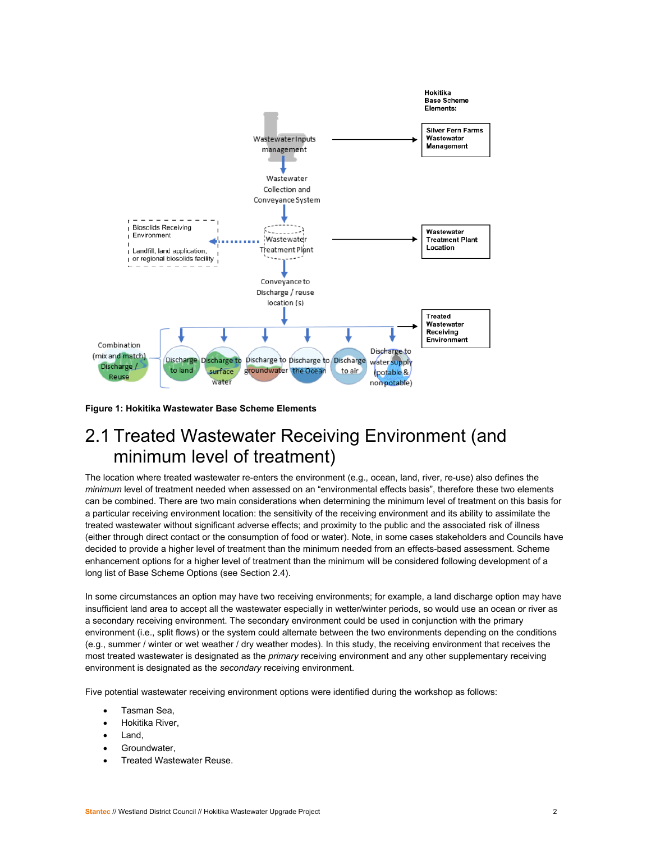

**Figure 1: Hokitika Wastewater Base Scheme Elements** 

### 2.1 Treated Wastewater Receiving Environment (and minimum level of treatment)

The location where treated wastewater re-enters the environment (e.g., ocean, land, river, re-use) also defines the *minimum* level of treatment needed when assessed on an "environmental effects basis", therefore these two elements can be combined. There are two main considerations when determining the minimum level of treatment on this basis for a particular receiving environment location: the sensitivity of the receiving environment and its ability to assimilate the treated wastewater without significant adverse effects; and proximity to the public and the associated risk of illness (either through direct contact or the consumption of food or water). Note, in some cases stakeholders and Councils have decided to provide a higher level of treatment than the minimum needed from an effects-based assessment. Scheme enhancement options for a higher level of treatment than the minimum will be considered following development of a long list of Base Scheme Options (see Section 2.4).

In some circumstances an option may have two receiving environments; for example, a land discharge option may have insufficient land area to accept all the wastewater especially in wetter/winter periods, so would use an ocean or river as a secondary receiving environment. The secondary environment could be used in conjunction with the primary environment (i.e., split flows) or the system could alternate between the two environments depending on the conditions (e.g., summer / winter or wet weather / dry weather modes). In this study, the receiving environment that receives the most treated wastewater is designated as the *primary* receiving environment and any other supplementary receiving environment is designated as the *secondary* receiving environment.

Five potential wastewater receiving environment options were identified during the workshop as follows:

- Tasman Sea,
- Hokitika River,
- Land,
- Groundwater,
- Treated Wastewater Reuse.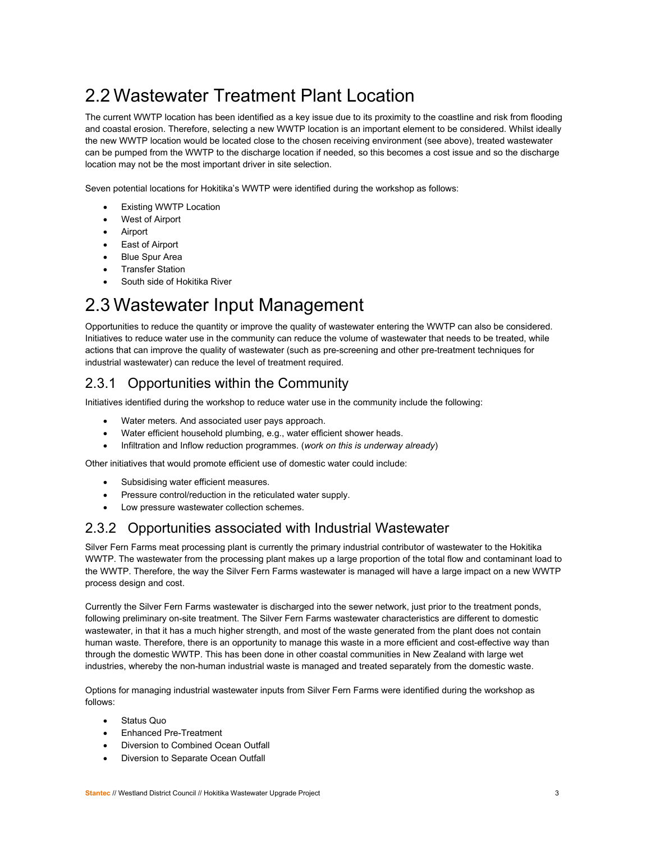## 2.2 Wastewater Treatment Plant Location

The current WWTP location has been identified as a key issue due to its proximity to the coastline and risk from flooding and coastal erosion. Therefore, selecting a new WWTP location is an important element to be considered. Whilst ideally the new WWTP location would be located close to the chosen receiving environment (see above), treated wastewater can be pumped from the WWTP to the discharge location if needed, so this becomes a cost issue and so the discharge location may not be the most important driver in site selection.

Seven potential locations for Hokitika's WWTP were identified during the workshop as follows:

- Existing WWTP Location
- West of Airport
- Airport
- East of Airport
- Blue Spur Area
- Transfer Station
- South side of Hokitika River

### 2.3 Wastewater Input Management

Opportunities to reduce the quantity or improve the quality of wastewater entering the WWTP can also be considered. Initiatives to reduce water use in the community can reduce the volume of wastewater that needs to be treated, while actions that can improve the quality of wastewater (such as pre-screening and other pre-treatment techniques for industrial wastewater) can reduce the level of treatment required.

### 2.3.1 Opportunities within the Community

Initiatives identified during the workshop to reduce water use in the community include the following:

- Water meters*.* And associated user pays approach.
- Water efficient household plumbing, e.g., water efficient shower heads.
- Infiltration and Inflow reduction programmes. (*work on this is underway already*)

Other initiatives that would promote efficient use of domestic water could include:

- Subsidising water efficient measures.
- Pressure control/reduction in the reticulated water supply.
- Low pressure wastewater collection schemes.

### 2.3.2 Opportunities associated with Industrial Wastewater

Silver Fern Farms meat processing plant is currently the primary industrial contributor of wastewater to the Hokitika WWTP. The wastewater from the processing plant makes up a large proportion of the total flow and contaminant load to the WWTP. Therefore, the way the Silver Fern Farms wastewater is managed will have a large impact on a new WWTP process design and cost.

Currently the Silver Fern Farms wastewater is discharged into the sewer network, just prior to the treatment ponds, following preliminary on-site treatment. The Silver Fern Farms wastewater characteristics are different to domestic wastewater, in that it has a much higher strength, and most of the waste generated from the plant does not contain human waste. Therefore, there is an opportunity to manage this waste in a more efficient and cost-effective way than through the domestic WWTP. This has been done in other coastal communities in New Zealand with large wet industries, whereby the non-human industrial waste is managed and treated separately from the domestic waste.

Options for managing industrial wastewater inputs from Silver Fern Farms were identified during the workshop as follows:

- Status Quo
- Enhanced Pre-Treatment
- Diversion to Combined Ocean Outfall
- Diversion to Separate Ocean Outfall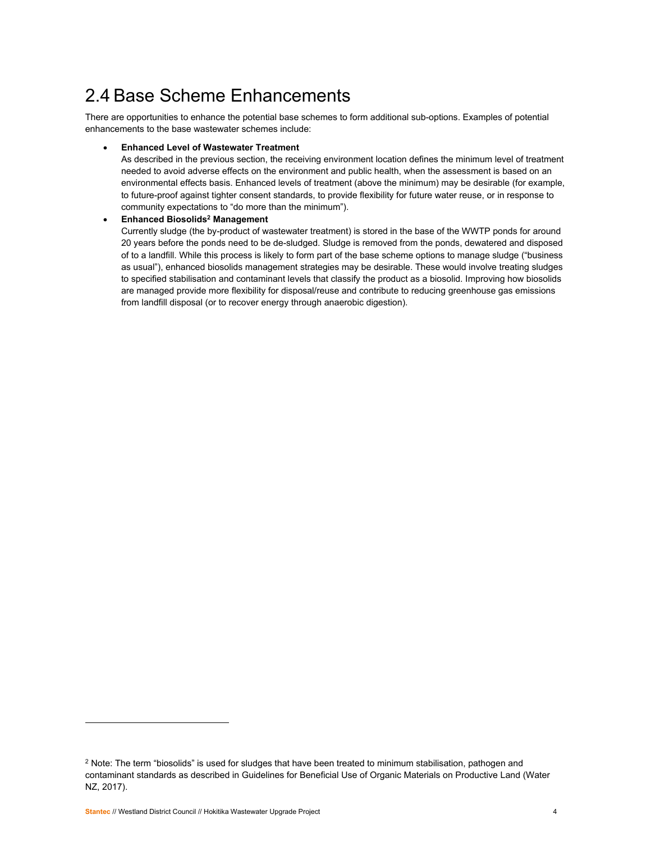## 2.4 Base Scheme Enhancements

There are opportunities to enhance the potential base schemes to form additional sub-options. Examples of potential enhancements to the base wastewater schemes include:

#### **Enhanced Level of Wastewater Treatment**

As described in the previous section, the receiving environment location defines the minimum level of treatment needed to avoid adverse effects on the environment and public health, when the assessment is based on an environmental effects basis. Enhanced levels of treatment (above the minimum) may be desirable (for example, to future-proof against tighter consent standards, to provide flexibility for future water reuse, or in response to community expectations to "do more than the minimum").

#### **Enhanced Biosolids2 Management**

Currently sludge (the by-product of wastewater treatment) is stored in the base of the WWTP ponds for around 20 years before the ponds need to be de-sludged. Sludge is removed from the ponds, dewatered and disposed of to a landfill. While this process is likely to form part of the base scheme options to manage sludge ("business as usual"), enhanced biosolids management strategies may be desirable. These would involve treating sludges to specified stabilisation and contaminant levels that classify the product as a biosolid. Improving how biosolids are managed provide more flexibility for disposal/reuse and contribute to reducing greenhouse gas emissions from landfill disposal (or to recover energy through anaerobic digestion).

<sup>&</sup>lt;sup>2</sup> Note: The term "biosolids" is used for sludges that have been treated to minimum stabilisation, pathogen and contaminant standards as described in Guidelines for Beneficial Use of Organic Materials on Productive Land (Water NZ, 2017).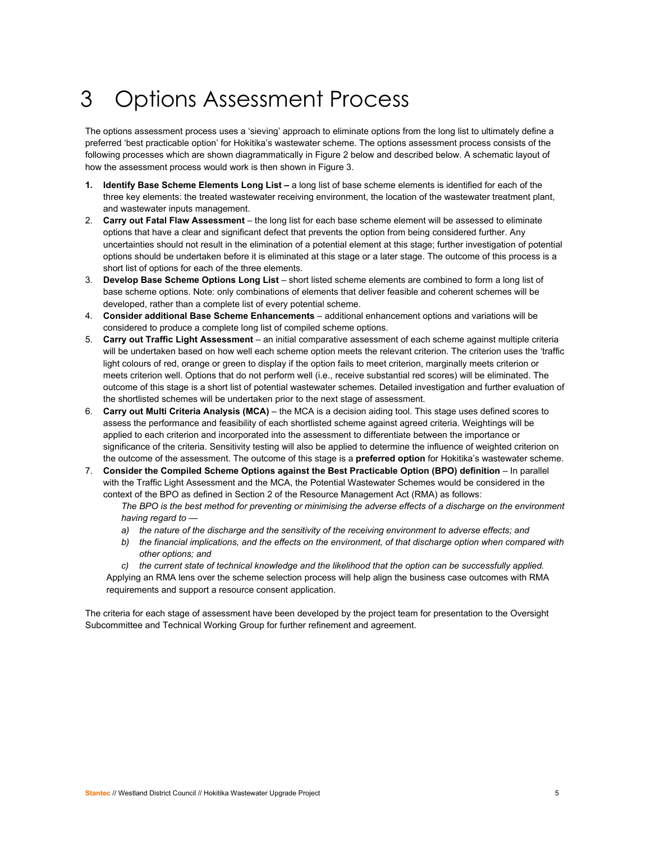## 3 Options Assessment Process

The options assessment process uses a 'sieving' approach to eliminate options from the long list to ultimately define a preferred 'best practicable option' for Hokitika's wastewater scheme. The options assessment process consists of the following processes which are shown diagrammatically in Figure 2 below and described below. A schematic layout of how the assessment process would work is then shown in Figure 3.

- **1. Identify Base Scheme Elements Long List** a long list of base scheme elements is identified for each of the three key elements: the treated wastewater receiving environment, the location of the wastewater treatment plant, and wastewater inputs management.
- 2. **Carry out Fatal Flaw Assessment** the long list for each base scheme element will be assessed to eliminate options that have a clear and significant defect that prevents the option from being considered further. Any uncertainties should not result in the elimination of a potential element at this stage; further investigation of potential options should be undertaken before it is eliminated at this stage or a later stage. The outcome of this process is a short list of options for each of the three elements.
- 3. **Develop Base Scheme Options Long List** short listed scheme elements are combined to form a long list of base scheme options. Note: only combinations of elements that deliver feasible and coherent schemes will be developed, rather than a complete list of every potential scheme.
- 4. **Consider additional Base Scheme Enhancements** additional enhancement options and variations will be considered to produce a complete long list of compiled scheme options.
- 5. **Carry out Traffic Light Assessment** an initial comparative assessment of each scheme against multiple criteria will be undertaken based on how well each scheme option meets the relevant criterion. The criterion uses the 'traffic light colours of red, orange or green to display if the option fails to meet criterion, marginally meets criterion or meets criterion well. Options that do not perform well (i.e., receive substantial red scores) will be eliminated. The outcome of this stage is a short list of potential wastewater schemes. Detailed investigation and further evaluation of the shortlisted schemes will be undertaken prior to the next stage of assessment.
- 6. **Carry out Multi Criteria Analysis (MCA)** the MCA is a decision aiding tool. This stage uses defined scores to assess the performance and feasibility of each shortlisted scheme against agreed criteria. Weightings will be applied to each criterion and incorporated into the assessment to differentiate between the importance or significance of the criteria. Sensitivity testing will also be applied to determine the influence of weighted criterion on the outcome of the assessment. The outcome of this stage is a **preferred option** for Hokitika's wastewater scheme.
- 7. **Consider the Compiled Scheme Options against the Best Practicable Option (BPO) definition**  In parallel with the Traffic Light Assessment and the MCA, the Potential Wastewater Schemes would be considered in the context of the BPO as defined in Section 2 of the Resource Management Act (RMA) as follows:

*The BPO is the best method for preventing or minimising the adverse effects of a discharge on the environment having regard to —* 

- *a) the nature of the discharge and the sensitivity of the receiving environment to adverse effects; and*
- *b) the financial implications, and the effects on the environment, of that discharge option when compared with other options; and*
- *c) the current state of technical knowledge and the likelihood that the option can be successfully applied.*  Applying an RMA lens over the scheme selection process will help align the business case outcomes with RMA requirements and support a resource consent application.

The criteria for each stage of assessment have been developed by the project team for presentation to the Oversight Subcommittee and Technical Working Group for further refinement and agreement.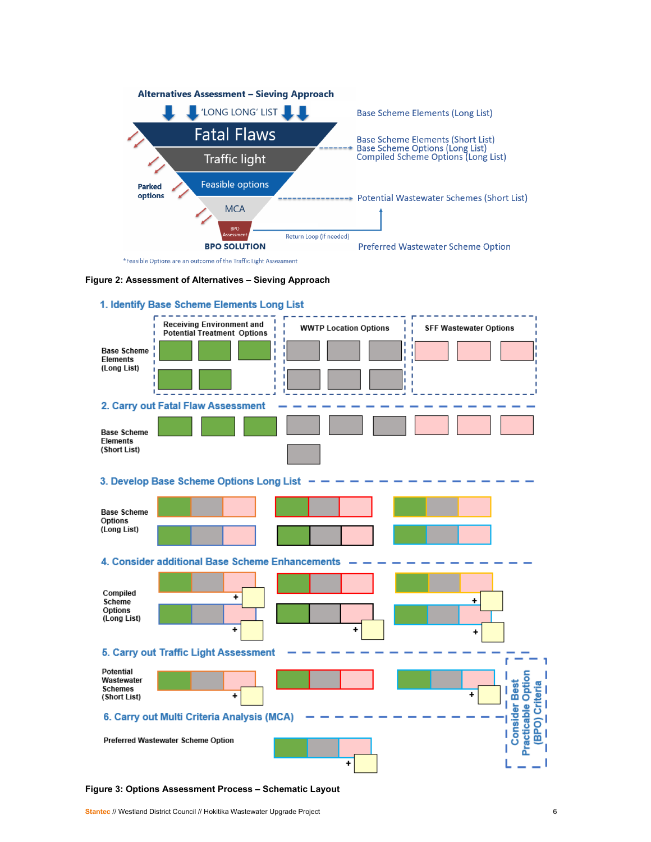





**Figure 3: Options Assessment Process – Schematic Layout**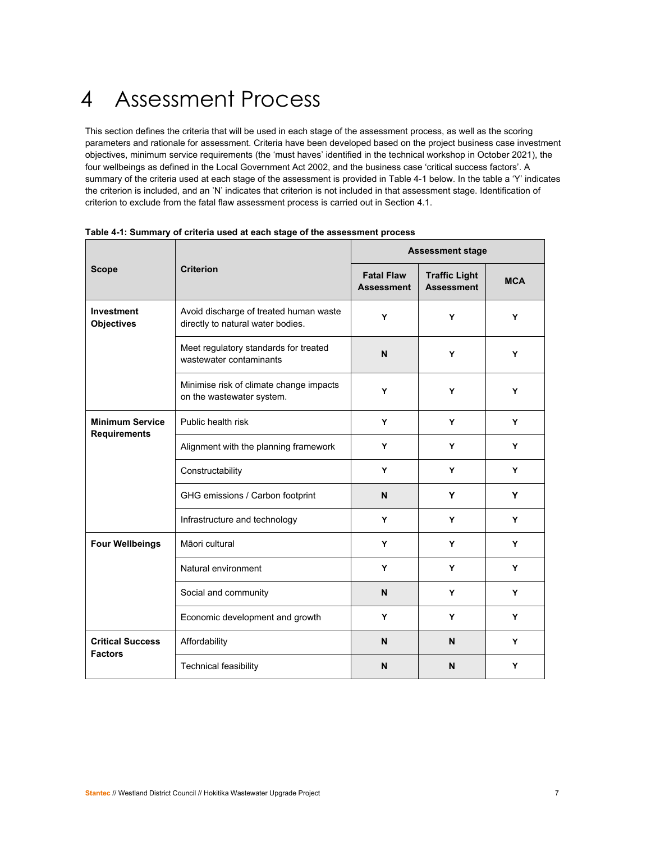## 4 Assessment Process

This section defines the criteria that will be used in each stage of the assessment process, as well as the scoring parameters and rationale for assessment. Criteria have been developed based on the project business case investment objectives, minimum service requirements (the 'must haves' identified in the technical workshop in October 2021), the four wellbeings as defined in the Local Government Act 2002, and the business case 'critical success factors'. A summary of the criteria used at each stage of the assessment is provided in Table 4-1 below. In the table a 'Y' indicates the criterion is included, and an 'N' indicates that criterion is not included in that assessment stage. Identification of criterion to exclude from the fatal flaw assessment process is carried out in Section 4.1.

|                                               |                                                                             | <b>Assessment stage</b>                |                                           |            |  |
|-----------------------------------------------|-----------------------------------------------------------------------------|----------------------------------------|-------------------------------------------|------------|--|
| <b>Criterion</b><br><b>Scope</b>              |                                                                             | <b>Fatal Flaw</b><br><b>Assessment</b> | <b>Traffic Light</b><br><b>Assessment</b> | <b>MCA</b> |  |
| Investment<br><b>Objectives</b>               | Avoid discharge of treated human waste<br>directly to natural water bodies. |                                        | Y                                         | Y          |  |
|                                               | Meet regulatory standards for treated<br>wastewater contaminants            |                                        | Y                                         | Y          |  |
|                                               | Minimise risk of climate change impacts<br>Y<br>on the wastewater system.   |                                        | Y                                         | Y          |  |
| <b>Minimum Service</b><br><b>Requirements</b> | Public health risk                                                          | Y                                      | Y                                         | Y          |  |
|                                               | Alignment with the planning framework                                       | Y                                      | Y                                         | Y          |  |
|                                               | Constructability                                                            | Υ                                      | Y                                         | Y          |  |
|                                               | GHG emissions / Carbon footprint                                            | N                                      | Y                                         | Y          |  |
|                                               | Infrastructure and technology                                               | Y                                      | Y                                         | Y          |  |
| <b>Four Wellbeings</b>                        | Māori cultural                                                              | Y                                      | Y                                         | Y          |  |
|                                               | Natural environment                                                         | Y                                      | Y                                         | Y          |  |
|                                               | Social and community                                                        | N                                      | Y                                         | Y          |  |
|                                               | Economic development and growth                                             | Y                                      | Y                                         | Y          |  |
| <b>Critical Success</b><br><b>Factors</b>     | Affordability                                                               | N                                      | N                                         | Y          |  |
|                                               | Technical feasibility                                                       | N                                      | N                                         | Y          |  |

| Table 4-1: Summary of criteria used at each stage of the assessment process |  |
|-----------------------------------------------------------------------------|--|
|                                                                             |  |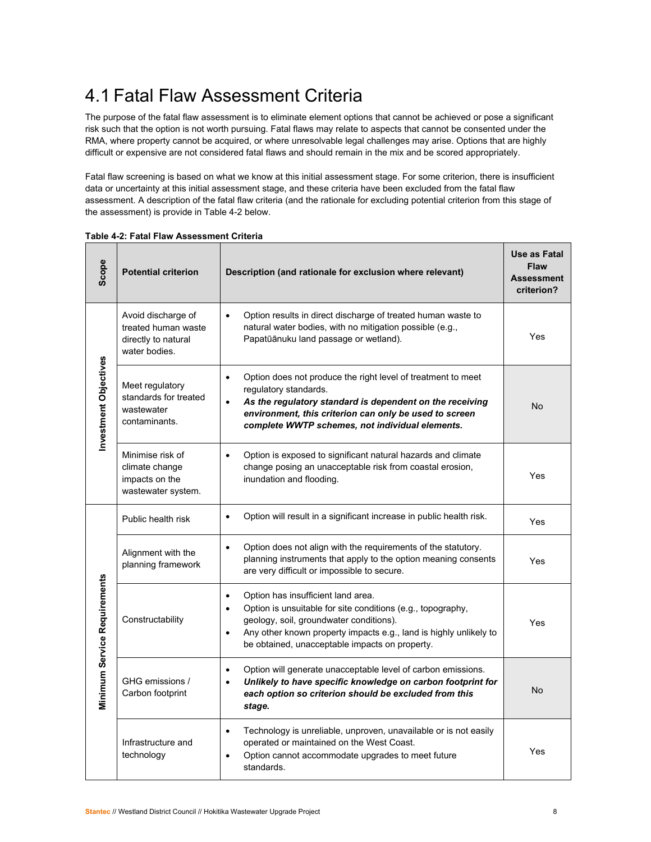## 4.1 Fatal Flaw Assessment Criteria

The purpose of the fatal flaw assessment is to eliminate element options that cannot be achieved or pose a significant risk such that the option is not worth pursuing. Fatal flaws may relate to aspects that cannot be consented under the RMA, where property cannot be acquired, or where unresolvable legal challenges may arise. Options that are highly difficult or expensive are not considered fatal flaws and should remain in the mix and be scored appropriately.

Fatal flaw screening is based on what we know at this initial assessment stage. For some criterion, there is insufficient data or uncertainty at this initial assessment stage, and these criteria have been excluded from the fatal flaw assessment. A description of the fatal flaw criteria (and the rationale for excluding potential criterion from this stage of the assessment) is provide in Table 4-2 below.

| Scope                        | <b>Potential criterion</b>                                                                                                                                                                                                                                                                                                     | Description (and rationale for exclusion where relevant)                                                                                                                                                                                                                    | Use as Fatal<br><b>Flaw</b><br><b>Assessment</b><br>criterion? |
|------------------------------|--------------------------------------------------------------------------------------------------------------------------------------------------------------------------------------------------------------------------------------------------------------------------------------------------------------------------------|-----------------------------------------------------------------------------------------------------------------------------------------------------------------------------------------------------------------------------------------------------------------------------|----------------------------------------------------------------|
|                              | Avoid discharge of<br>treated human waste<br>directly to natural<br>water bodies.                                                                                                                                                                                                                                              | Option results in direct discharge of treated human waste to<br>$\bullet$<br>natural water bodies, with no mitigation possible (e.g.,<br>Papatūānuku land passage or wetland).                                                                                              | Yes                                                            |
| Investment Objectives        | Meet regulatory<br>standards for treated<br>wastewater<br>contaminants.                                                                                                                                                                                                                                                        | Option does not produce the right level of treatment to meet<br>$\bullet$<br>regulatory standards.<br>As the regulatory standard is dependent on the receiving<br>environment, this criterion can only be used to screen<br>complete WWTP schemes, not individual elements. | No                                                             |
|                              | Minimise risk of<br>climate change<br>impacts on the<br>wastewater system.                                                                                                                                                                                                                                                     | Option is exposed to significant natural hazards and climate<br>$\bullet$<br>change posing an unacceptable risk from coastal erosion,<br>inundation and flooding.                                                                                                           | Yes                                                            |
|                              | Public health risk                                                                                                                                                                                                                                                                                                             | Option will result in a significant increase in public health risk.<br>$\bullet$                                                                                                                                                                                            | Yes                                                            |
| Minimum Service Requirements | Alignment with the<br>planning framework                                                                                                                                                                                                                                                                                       | Option does not align with the requirements of the statutory.<br>$\bullet$<br>planning instruments that apply to the option meaning consents<br>are very difficult or impossible to secure.                                                                                 | Yes                                                            |
|                              | Option has insufficient land area.<br>$\bullet$<br>Option is unsuitable for site conditions (e.g., topography,<br>$\bullet$<br>Constructability<br>geology, soil, groundwater conditions).<br>Any other known property impacts e.g., land is highly unlikely to<br>$\bullet$<br>be obtained, unacceptable impacts on property. |                                                                                                                                                                                                                                                                             | Yes                                                            |
|                              | GHG emissions /<br>Carbon footprint                                                                                                                                                                                                                                                                                            | Option will generate unacceptable level of carbon emissions.<br>$\bullet$<br>Unlikely to have specific knowledge on carbon footprint for<br>$\bullet$<br>each option so criterion should be excluded from this<br>stage.                                                    | No                                                             |
|                              | Infrastructure and<br>technology                                                                                                                                                                                                                                                                                               | Technology is unreliable, unproven, unavailable or is not easily<br>$\bullet$<br>operated or maintained on the West Coast.<br>Option cannot accommodate upgrades to meet future<br>standards.                                                                               | Yes                                                            |

**Table 4-2: Fatal Flaw Assessment Criteria**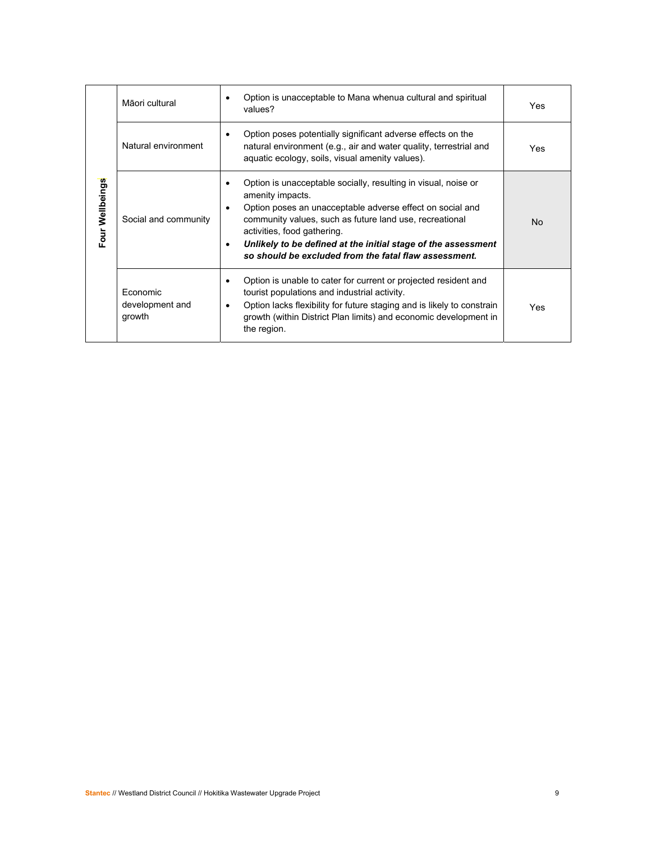|                 | Māori cultural                        | Option is unacceptable to Mana whenua cultural and spiritual<br>$\bullet$<br>values?                                                                                                                                                                                                                                                                                                                       | Yes |
|-----------------|---------------------------------------|------------------------------------------------------------------------------------------------------------------------------------------------------------------------------------------------------------------------------------------------------------------------------------------------------------------------------------------------------------------------------------------------------------|-----|
|                 | Natural environment                   | Option poses potentially significant adverse effects on the<br>$\bullet$<br>natural environment (e.g., air and water quality, terrestrial and<br>aquatic ecology, soils, visual amenity values).                                                                                                                                                                                                           | Yes |
| Four Wellbeings | Social and community                  | Option is unacceptable socially, resulting in visual, noise or<br>$\bullet$<br>amenity impacts.<br>Option poses an unacceptable adverse effect on social and<br>$\bullet$<br>community values, such as future land use, recreational<br>activities, food gathering.<br>Unlikely to be defined at the initial stage of the assessment<br>$\bullet$<br>so should be excluded from the fatal flaw assessment. | No  |
|                 | Economic<br>development and<br>growth | Option is unable to cater for current or projected resident and<br>$\bullet$<br>tourist populations and industrial activity.<br>Option lacks flexibility for future staging and is likely to constrain<br>$\bullet$<br>growth (within District Plan limits) and economic development in<br>the region.                                                                                                     | Yes |
|                 |                                       |                                                                                                                                                                                                                                                                                                                                                                                                            |     |
|                 |                                       |                                                                                                                                                                                                                                                                                                                                                                                                            |     |
|                 |                                       |                                                                                                                                                                                                                                                                                                                                                                                                            |     |
|                 |                                       |                                                                                                                                                                                                                                                                                                                                                                                                            |     |
|                 |                                       |                                                                                                                                                                                                                                                                                                                                                                                                            |     |
|                 |                                       |                                                                                                                                                                                                                                                                                                                                                                                                            |     |
|                 |                                       |                                                                                                                                                                                                                                                                                                                                                                                                            |     |
|                 |                                       |                                                                                                                                                                                                                                                                                                                                                                                                            |     |
|                 |                                       | Stantec // Westland District Council // Hokitika Wastewater Upgrade Project                                                                                                                                                                                                                                                                                                                                | 9   |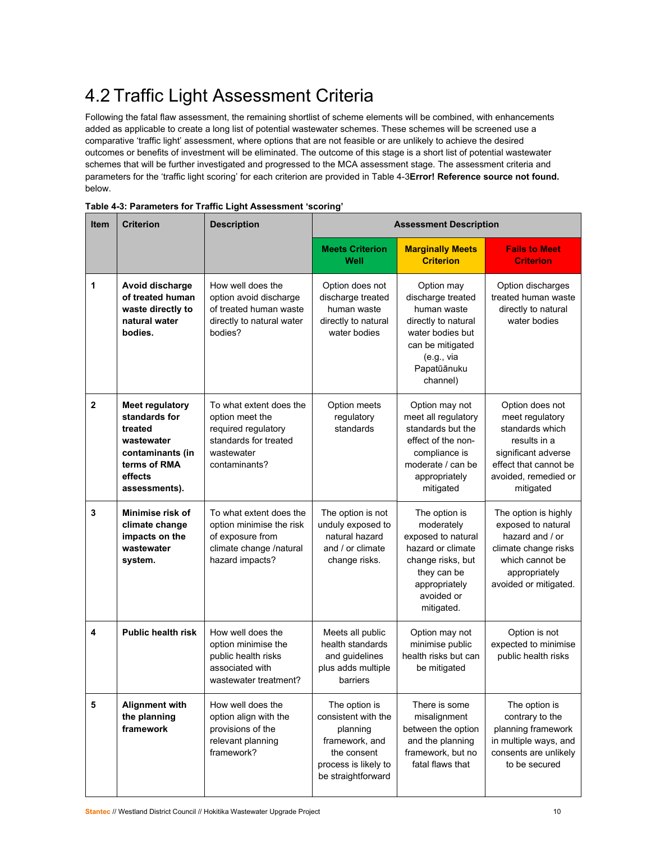## 4.2 Traffic Light Assessment Criteria

Following the fatal flaw assessment, the remaining shortlist of scheme elements will be combined, with enhancements added as applicable to create a long list of potential wastewater schemes. These schemes will be screened use a comparative 'traffic light' assessment, where options that are not feasible or are unlikely to achieve the desired outcomes or benefits of investment will be eliminated. The outcome of this stage is a short list of potential wastewater schemes that will be further investigated and progressed to the MCA assessment stage. The assessment criteria and parameters for the 'traffic light scoring' for each criterion are provided in Table 4-3**Error! Reference source not found.** below.

| <b>Item</b>             | <b>Criterion</b>                                                                                                                 | <b>Description</b>                                                                                                        | <b>Assessment Description</b>                                                                                                   |                                                                                                                                                         |                                                                                                                                                            |  |  |
|-------------------------|----------------------------------------------------------------------------------------------------------------------------------|---------------------------------------------------------------------------------------------------------------------------|---------------------------------------------------------------------------------------------------------------------------------|---------------------------------------------------------------------------------------------------------------------------------------------------------|------------------------------------------------------------------------------------------------------------------------------------------------------------|--|--|
|                         |                                                                                                                                  |                                                                                                                           | <b>Meets Criterion</b><br>Well                                                                                                  | <b>Marginally Meets</b><br><b>Criterion</b>                                                                                                             | <b>Fails to Meet</b><br><b>Criterion</b>                                                                                                                   |  |  |
| 1                       | Avoid discharge<br>of treated human<br>waste directly to<br>natural water<br>bodies.                                             | How well does the<br>option avoid discharge<br>of treated human waste<br>directly to natural water<br>bodies?             | Option does not<br>discharge treated<br>human waste<br>directly to natural<br>water bodies                                      | Option may<br>discharge treated<br>human waste<br>directly to natural<br>water bodies but<br>can be mitigated<br>(e.g., via<br>Papatūānuku<br>channel)  | Option discharges<br>treated human waste<br>directly to natural<br>water bodies                                                                            |  |  |
| $\overline{2}$          | <b>Meet regulatory</b><br>standards for<br>treated<br>wastewater<br>contaminants (in<br>terms of RMA<br>effects<br>assessments). | To what extent does the<br>option meet the<br>required regulatory<br>standards for treated<br>wastewater<br>contaminants? | Option meets<br>regulatory<br>standards                                                                                         | Option may not<br>meet all regulatory<br>standards but the<br>effect of the non-<br>compliance is<br>moderate / can be<br>appropriately<br>mitigated    | Option does not<br>meet regulatory<br>standards which<br>results in a<br>significant adverse<br>effect that cannot be<br>avoided, remedied or<br>mitigated |  |  |
| 3                       | Minimise risk of<br>climate change<br>impacts on the<br>wastewater<br>system.                                                    | To what extent does the<br>option minimise the risk<br>of exposure from<br>climate change /natural<br>hazard impacts?     | The option is not<br>unduly exposed to<br>natural hazard<br>and / or climate<br>change risks.                                   | The option is<br>moderately<br>exposed to natural<br>hazard or climate<br>change risks, but<br>they can be<br>appropriately<br>avoided or<br>mitigated. | The option is highly<br>exposed to natural<br>hazard and / or<br>climate change risks<br>which cannot be<br>appropriately<br>avoided or mitigated.         |  |  |
| $\overline{\mathbf{4}}$ | <b>Public health risk</b>                                                                                                        | How well does the<br>option minimise the<br>public health risks<br>associated with<br>wastewater treatment?               | Meets all public<br>health standards<br>and guidelines<br>plus adds multiple<br>barriers                                        | Option may not<br>minimise public<br>health risks but can<br>be mitigated                                                                               | Option is not<br>expected to minimise<br>public health risks                                                                                               |  |  |
| 5                       | <b>Alignment with</b><br>the planning<br>framework                                                                               | How well does the<br>option align with the<br>provisions of the<br>relevant planning<br>framework?                        | The option is<br>consistent with the<br>planning<br>framework, and<br>the consent<br>process is likely to<br>be straightforward | There is some<br>misalignment<br>between the option<br>and the planning<br>framework, but no<br>fatal flaws that                                        | The option is<br>contrary to the<br>planning framework<br>in multiple ways, and<br>consents are unlikely<br>to be secured                                  |  |  |

|  |  | Table 4-3: Parameters for Traffic Light Assessment 'scoring' |  |
|--|--|--------------------------------------------------------------|--|
|  |  |                                                              |  |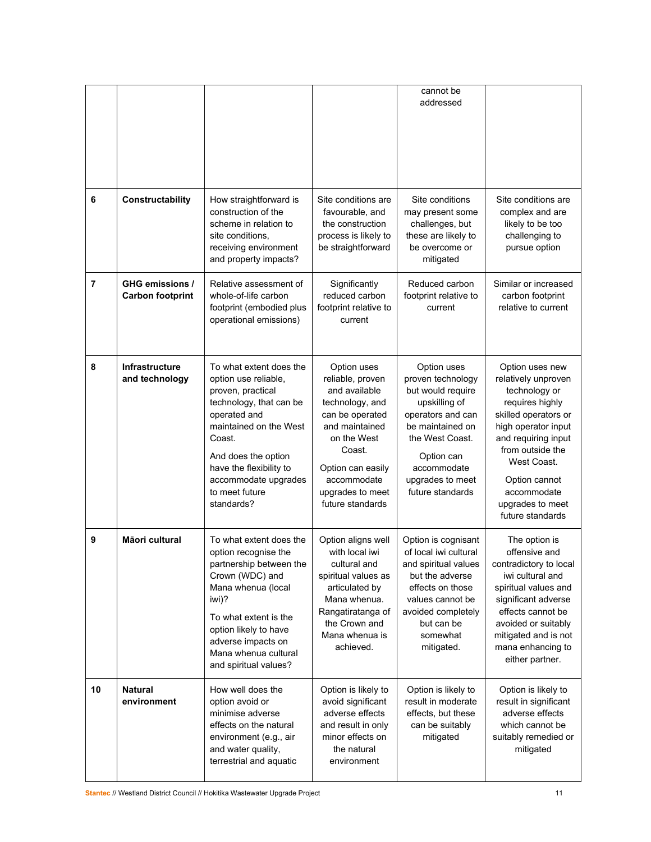| 6              | Constructability                                  | How straightforward is<br>construction of the<br>scheme in relation to<br>site conditions.<br>receiving environment<br>and property impacts?                                                                                                                  | Site conditions are<br>favourable, and<br>the construction<br>process is likely to<br>be straightforward                                                                                                      | cannot be<br>addressed<br>Site conditions<br>may present some<br>challenges, but<br>these are likely to<br>be overcome or<br>mitigated                                                                  | Site conditions are<br>complex and are<br>likely to be too<br>challenging to<br>pursue option                                                                                                                                                               |
|----------------|---------------------------------------------------|---------------------------------------------------------------------------------------------------------------------------------------------------------------------------------------------------------------------------------------------------------------|---------------------------------------------------------------------------------------------------------------------------------------------------------------------------------------------------------------|---------------------------------------------------------------------------------------------------------------------------------------------------------------------------------------------------------|-------------------------------------------------------------------------------------------------------------------------------------------------------------------------------------------------------------------------------------------------------------|
| $\overline{7}$ | <b>GHG emissions /</b><br><b>Carbon footprint</b> | Relative assessment of<br>whole-of-life carbon<br>footprint (embodied plus<br>operational emissions)                                                                                                                                                          | Significantly<br>reduced carbon<br>footprint relative to<br>current                                                                                                                                           | Reduced carbon<br>footprint relative to<br>current                                                                                                                                                      | Similar or increased<br>carbon footprint<br>relative to current                                                                                                                                                                                             |
| 8              | Infrastructure<br>and technology                  | To what extent does the<br>option use reliable,<br>proven, practical<br>technology, that can be<br>operated and<br>maintained on the West<br>Coast.<br>And does the option<br>have the flexibility to<br>accommodate upgrades<br>to meet future<br>standards? | Option uses<br>reliable, proven<br>and available<br>technology, and<br>can be operated<br>and maintained<br>on the West<br>Coast.<br>Option can easily<br>accommodate<br>upgrades to meet<br>future standards | Option uses<br>proven technology<br>but would require<br>upskilling of<br>operators and can<br>be maintained on<br>the West Coast.<br>Option can<br>accommodate<br>upgrades to meet<br>future standards | Option uses new<br>relatively unproven<br>technology or<br>requires highly<br>skilled operators or<br>high operator input<br>and requiring input<br>from outside the<br>West Coast.<br>Option cannot<br>accommodate<br>upgrades to meet<br>future standards |
| 9              | Māori cultural                                    | To what extent does the<br>option recognise the<br>partnership between the<br>Crown (WDC) and<br>Mana whenua (local<br>iwi)?<br>To what extent is the<br>option likely to have<br>adverse impacts on<br>Mana whenua cultural<br>and spiritual values?         | Option aligns well<br>with local iwi<br>cultural and<br>spiritual values as<br>articulated by<br>Mana whenua.<br>Rangatiratanga of<br>the Crown and<br>Mana whenua is<br>achieved.                            | Option is cognisant<br>of local iwi cultural<br>and spiritual values<br>but the adverse<br>effects on those<br>values cannot be<br>avoided completely<br>but can be<br>somewhat<br>mitigated.           | The option is<br>offensive and<br>contradictory to local<br>iwi cultural and<br>spiritual values and<br>significant adverse<br>effects cannot be<br>avoided or suitably<br>mitigated and is not<br>mana enhancing to<br>either partner.                     |
| 10             | <b>Natural</b><br>environment                     | How well does the<br>option avoid or<br>minimise adverse<br>effects on the natural<br>environment (e.g., air<br>and water quality,<br>terrestrial and aquatic                                                                                                 | Option is likely to<br>avoid significant<br>adverse effects<br>and result in only<br>minor effects on<br>the natural<br>environment                                                                           | Option is likely to<br>result in moderate<br>effects, but these<br>can be suitably<br>mitigated                                                                                                         | Option is likely to<br>result in significant<br>adverse effects<br>which cannot be<br>suitably remedied or<br>mitigated                                                                                                                                     |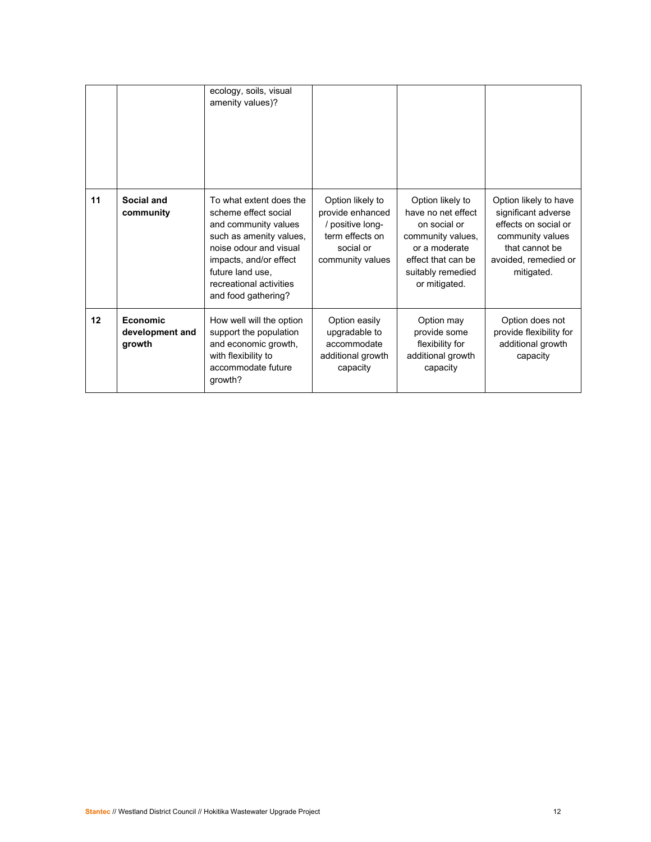|    |                                       | ecology, soils, visual<br>amenity values)?                                                                                                                                                                                   |                                                                                                              |                                                                                                                                                          |                                                                                                                                                  |
|----|---------------------------------------|------------------------------------------------------------------------------------------------------------------------------------------------------------------------------------------------------------------------------|--------------------------------------------------------------------------------------------------------------|----------------------------------------------------------------------------------------------------------------------------------------------------------|--------------------------------------------------------------------------------------------------------------------------------------------------|
| 11 | Social and<br>community               | To what extent does the<br>scheme effect social<br>and community values<br>such as amenity values,<br>noise odour and visual<br>impacts, and/or effect<br>future land use.<br>recreational activities<br>and food gathering? | Option likely to<br>provide enhanced<br>/ positive long-<br>term effects on<br>social or<br>community values | Option likely to<br>have no net effect<br>on social or<br>community values,<br>or a moderate<br>effect that can be<br>suitably remedied<br>or mitigated. | Option likely to have<br>significant adverse<br>effects on social or<br>community values<br>that cannot be<br>avoided, remedied or<br>mitigated. |
| 12 | Economic<br>development and<br>growth | How well will the option<br>support the population<br>and economic growth,<br>with flexibility to<br>accommodate future<br>growth?                                                                                           | Option easily<br>upgradable to<br>accommodate<br>additional growth<br>capacity                               | Option may<br>provide some<br>flexibility for<br>additional growth<br>capacity                                                                           | Option does not<br>provide flexibility for<br>additional growth<br>capacity                                                                      |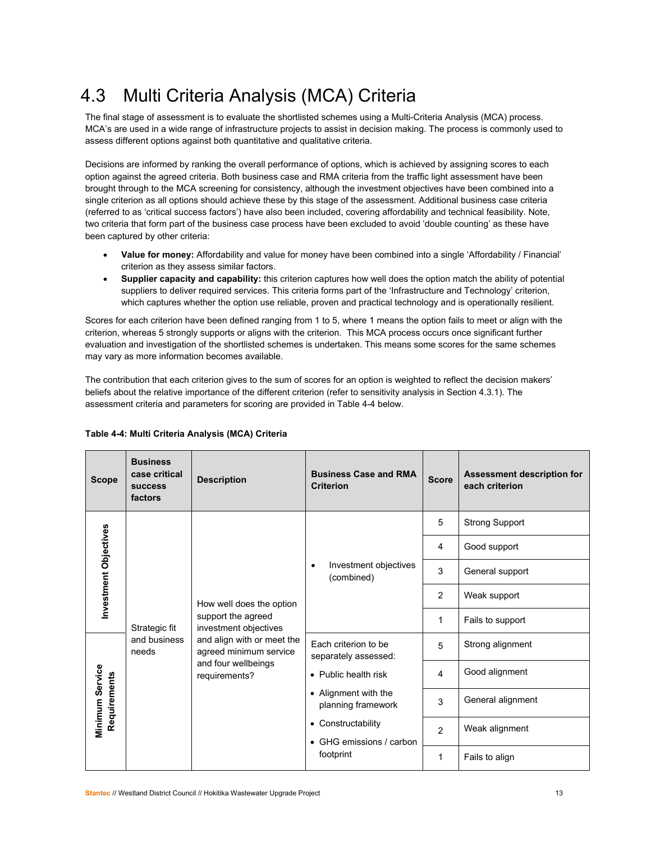## 4.3 Multi Criteria Analysis (MCA) Criteria

The final stage of assessment is to evaluate the shortlisted schemes using a Multi-Criteria Analysis (MCA) process. MCA's are used in a wide range of infrastructure projects to assist in decision making. The process is commonly used to assess different options against both quantitative and qualitative criteria.

Decisions are informed by ranking the overall performance of options, which is achieved by assigning scores to each option against the agreed criteria. Both business case and RMA criteria from the traffic light assessment have been brought through to the MCA screening for consistency, although the investment objectives have been combined into a single criterion as all options should achieve these by this stage of the assessment. Additional business case criteria (referred to as 'critical success factors') have also been included, covering affordability and technical feasibility. Note, two criteria that form part of the business case process have been excluded to avoid 'double counting' as these have been captured by other criteria:

- **Value for money:** Affordability and value for money have been combined into a single 'Affordability / Financial' criterion as they assess similar factors.
- **Supplier capacity and capability:** this criterion captures how well does the option match the ability of potential suppliers to deliver required services. This criteria forms part of the 'Infrastructure and Technology' criterion, which captures whether the option use reliable, proven and practical technology and is operationally resilient.

Scores for each criterion have been defined ranging from 1 to 5, where 1 means the option fails to meet or align with the criterion, whereas 5 strongly supports or aligns with the criterion. This MCA process occurs once significant further evaluation and investigation of the shortlisted schemes is undertaken. This means some scores for the same schemes may vary as more information becomes available.

The contribution that each criterion gives to the sum of scores for an option is weighted to reflect the decision makers' beliefs about the relative importance of the different criterion (refer to sensitivity analysis in Section 4.3.1). The assessment criteria and parameters for scoring are provided in Table 4-4 below.

| <b>Scope</b>          | <b>Business</b><br>case critical<br><b>SUCCESS</b><br>factors | <b>Description</b>                                                                                                                                                      | <b>Business Case and RMA</b><br><b>Criterion</b> | <b>Score</b>    | Assessment description for<br>each criterion |                      |                                              |                |                  |  |  |
|-----------------------|---------------------------------------------------------------|-------------------------------------------------------------------------------------------------------------------------------------------------------------------------|--------------------------------------------------|-----------------|----------------------------------------------|----------------------|----------------------------------------------|----------------|------------------|--|--|
|                       |                                                               |                                                                                                                                                                         |                                                  | 5               | <b>Strong Support</b>                        |                      |                                              |                |                  |  |  |
|                       |                                                               |                                                                                                                                                                         |                                                  | 4               | Good support                                 |                      |                                              |                |                  |  |  |
| Investment Objectives |                                                               | Investment objectives<br>٠<br>(combined)                                                                                                                                | 3                                                | General support |                                              |                      |                                              |                |                  |  |  |
|                       |                                                               | How well does the option<br>support the agreed<br>investment objectives<br>and align with or meet the<br>agreed minimum service<br>and four wellbeings<br>requirements? |                                                  | 2               | Weak support                                 |                      |                                              |                |                  |  |  |
|                       | Strategic fit                                                 |                                                                                                                                                                         |                                                  | 1               | Fails to support                             |                      |                                              |                |                  |  |  |
|                       | and business<br>needs                                         |                                                                                                                                                                         |                                                  |                 |                                              |                      | Each criterion to be<br>separately assessed: | 5              | Strong alignment |  |  |
|                       | Minimum Service<br>Requirements                               |                                                                                                                                                                         |                                                  |                 |                                              | • Public health risk | 4                                            | Good alignment |                  |  |  |
|                       |                                                               |                                                                                                                                                                         |                                                  |                 |                                              |                      |                                              |                |                  |  |  |
|                       |                                                               |                                                                                                                                                                         | • Constructability<br>• GHG emissions / carbon   | $\mathcal{P}$   | Weak alignment                               |                      |                                              |                |                  |  |  |
|                       |                                                               |                                                                                                                                                                         | footprint                                        | 1               | Fails to align                               |                      |                                              |                |                  |  |  |

### **Table 4-4: Multi Criteria Analysis (MCA) Criteria**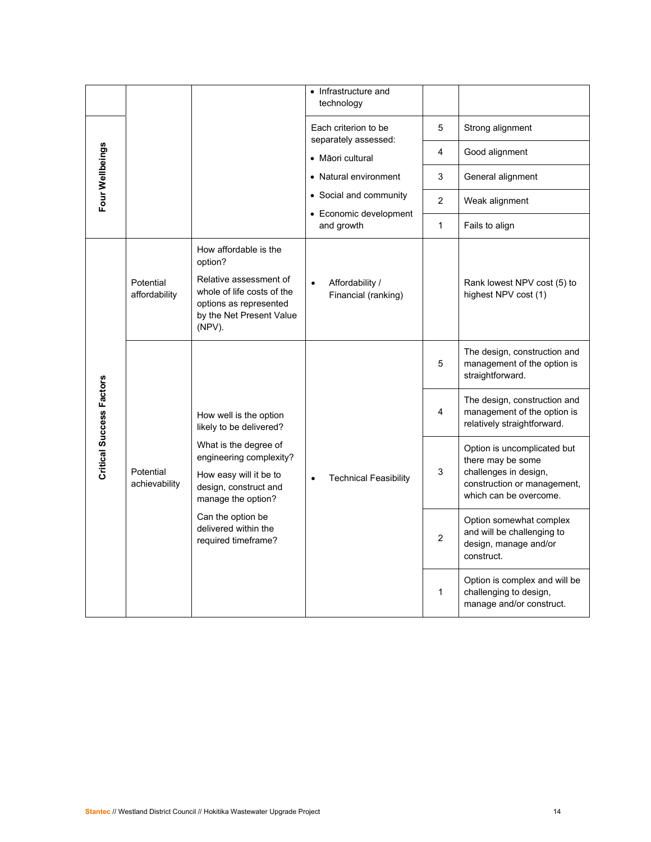|                                 |                            |                                                                                                                                                          | • Infrastructure and<br>technology     |                |                                                                                                                                    |
|---------------------------------|----------------------------|----------------------------------------------------------------------------------------------------------------------------------------------------------|----------------------------------------|----------------|------------------------------------------------------------------------------------------------------------------------------------|
|                                 |                            |                                                                                                                                                          | Each criterion to be                   | 5              | Strong alignment                                                                                                                   |
|                                 |                            |                                                                                                                                                          | separately assessed:                   |                |                                                                                                                                    |
|                                 |                            |                                                                                                                                                          | • Māori cultural                       | 4              | Good alignment                                                                                                                     |
|                                 |                            |                                                                                                                                                          | • Natural environment                  | 3              | General alignment                                                                                                                  |
| Four Wellbeings                 |                            |                                                                                                                                                          | • Social and community                 | $\overline{2}$ | Weak alignment                                                                                                                     |
|                                 |                            |                                                                                                                                                          | • Economic development<br>and growth   | 1              | Fails to align                                                                                                                     |
|                                 | Potential<br>affordability | How affordable is the<br>option?<br>Relative assessment of<br>whole of life costs of the<br>options as represented<br>by the Net Present Value<br>(NPV). | Affordability /<br>Financial (ranking) |                | Rank lowest NPV cost (5) to<br>highest NPV cost (1)                                                                                |
|                                 | Potential<br>achievability |                                                                                                                                                          | <b>Technical Feasibility</b>           | 5              | The design, construction and<br>management of the option is<br>straightforward.                                                    |
| <b>Critical Success Factors</b> |                            | How well is the option<br>likely to be delivered?                                                                                                        |                                        | 4              | The design, construction and<br>management of the option is<br>relatively straightforward.                                         |
|                                 |                            | What is the degree of<br>engineering complexity?<br>How easy will it be to<br>design, construct and<br>manage the option?                                |                                        | 3              | Option is uncomplicated but<br>there may be some<br>challenges in design,<br>construction or management,<br>which can be overcome. |
|                                 |                            | Can the option be<br>delivered within the<br>required timeframe?                                                                                         |                                        | $\overline{2}$ | Option somewhat complex<br>and will be challenging to<br>design, manage and/or<br>construct.                                       |
|                                 |                            |                                                                                                                                                          |                                        | 1              | Option is complex and will be<br>challenging to design,<br>manage and/or construct.                                                |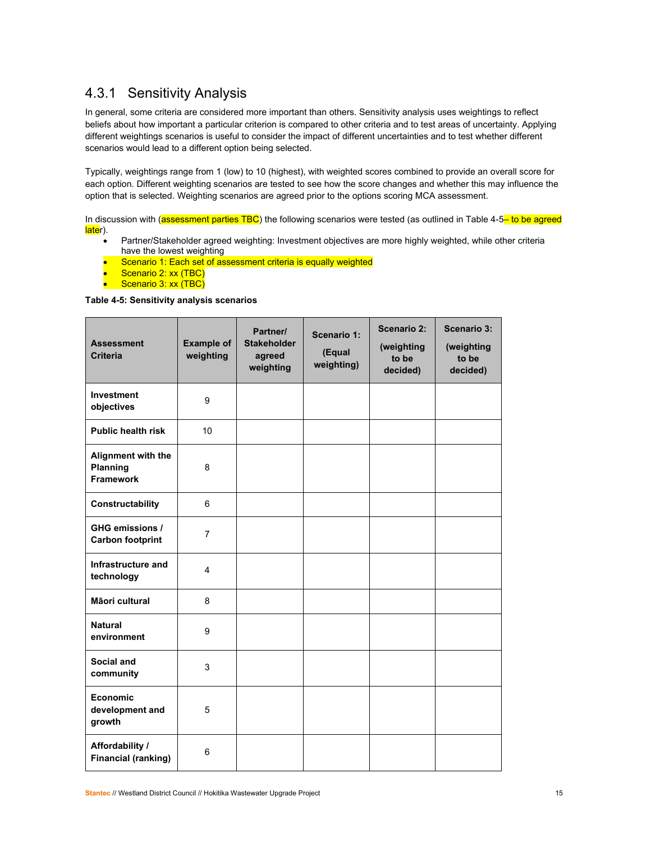### 4.3.1 Sensitivity Analysis

In general, some criteria are considered more important than others. Sensitivity analysis uses weightings to reflect beliefs about how important a particular criterion is compared to other criteria and to test areas of uncertainty. Applying different weightings scenarios is useful to consider the impact of different uncertainties and to test whether different scenarios would lead to a different option being selected.

Typically, weightings range from 1 (low) to 10 (highest), with weighted scores combined to provide an overall score for each option. Different weighting scenarios are tested to see how the score changes and whether this may influence the option that is selected. Weighting scenarios are agreed prior to the options scoring MCA assessment.

In discussion with (**assessment parties TBC**) the following scenarios were tested (as outlined in Table 4-5<sup>-</sup> to be agreed later).

- Partner/Stakeholder agreed weighting: Investment objectives are more highly weighted, while other criteria have the lowest weighting
- Scenario 1: Each set of assessment criteria is equally weighted
- Scenario 2: xx (TBC)
- Scenario 3: xx (TBC)

#### **Table 4-5: Sensitivity analysis scenarios**

| <b>Assessment</b><br><b>Criteria</b>               | <b>Example of</b><br>weighting | Partner/<br><b>Stakeholder</b><br>agreed<br>weighting | Scenario 1:<br>(Equal<br>weighting) | <b>Scenario 2:</b><br>(weighting<br>to be<br>decided) | <b>Scenario 3:</b><br>(weighting<br>to be<br>decided) |
|----------------------------------------------------|--------------------------------|-------------------------------------------------------|-------------------------------------|-------------------------------------------------------|-------------------------------------------------------|
| <b>Investment</b><br>objectives                    | 9                              |                                                       |                                     |                                                       |                                                       |
| <b>Public health risk</b>                          | 10                             |                                                       |                                     |                                                       |                                                       |
| Alignment with the<br>Planning<br><b>Framework</b> | 8                              |                                                       |                                     |                                                       |                                                       |
| Constructability                                   | 6                              |                                                       |                                     |                                                       |                                                       |
| GHG emissions /<br><b>Carbon footprint</b>         | $\overline{7}$                 |                                                       |                                     |                                                       |                                                       |
| Infrastructure and<br>technology                   | 4                              |                                                       |                                     |                                                       |                                                       |
| Māori cultural                                     | 8                              |                                                       |                                     |                                                       |                                                       |
| <b>Natural</b><br>environment                      | 9                              |                                                       |                                     |                                                       |                                                       |
| Social and<br>community                            | 3                              |                                                       |                                     |                                                       |                                                       |
| <b>Economic</b><br>development and<br>growth       | 5                              |                                                       |                                     |                                                       |                                                       |
| Affordability /<br><b>Financial (ranking)</b>      | 6                              |                                                       |                                     |                                                       |                                                       |